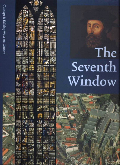The Seventh Window

Concept & Editing WIM DE GROOT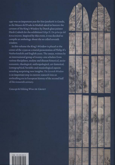1997 was an important year for Sint Janskerk in Gouda, as the Museo del Prado in Madrid asked to borrow the cartoon of the King's Window by Dutch glass painter Dirck Crabeth for the exhibition Felipe II. Un príncipe del Renacimiento. Inspired by this event, it was decided to compile an anthology about the so called seventh window.

In this volume the King's Window is placed at the center of the 1550s as a crucial presentation of Philip II's Netherlandish and English years. The essays, written by an international group of twenty-one scholars from various disciplines, analyse and discuss historical, socioeconomic, theological, anthropological, art-historical, iconographical, heraldic and musicological aspects revealing surprising new insights. The Seventh Window is an important step in current research into an enthralling era in European history of the second half

Concept & Editing WIM DE GROOT



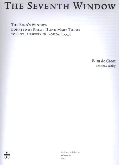# THE SEVENTH WINDOW

THE KING'S WINDOW DONATED BY PHILIP II AND MARY TUDOR TO SINT JANSKERK IN GOUDA (1557)

> Wim de Groot Concept & Editing

Verloren Publishers Hilversum 2005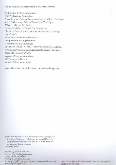This publication was made possible by donations from:

Art & Design & Photo, Amsterdam 'AUI' Productions, Amsterdam Prince Bernhard Cultural Foundation South Holland, The Hague M.A.O.C. Gravin van Bylandr Foundation, The Hague Willem van Doorn, De Kwakel De Gijselaar-Hintzen Foundation, Amsterdam Glass Art Information and Documentation Center, Antwerp City of Gouda Foundation Gouda Windows, Gouda Group Monument, Ingelmunster M-real Benelux BV, Amsterdam Dr Hendrik Muller's National History Foundation, The Hague Netherlands Organisation for Scientific Research, The Hague Radboud Foundation, Vught George H. Vergouw, Amstelveen VSB Foundation, Utrecht Marrin L. White, Westchester

More information about the donors can be found on p. 304.

(2) 2005 Wim de Groot for 'AU!' Productions, www.wimdegroot.nl & Verloren Publishers, P.O. Box 1741, NL-1200 as Hilversum Copyright to the illustrations is held by the institutions and persons named in the captions. ISBN 90-6550-822-8

Typesetting Rombus, Hilversum. Paper M-Real Benelux, Amsterdam. Printing Wilco, Amersfoort. Binding Van Waarden, Zaandam. No part of this publication may be reproduced in any form without written permisson from the publisher.

Cover illustration: Aerial view of Gouda [1981]. Photo Aerophoto-Schiphol, inv. no. 36892.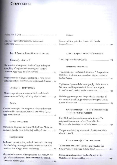#### **CONTENTS**

|                                                                                                                          | MUSIC:                                                                                                    |
|--------------------------------------------------------------------------------------------------------------------------|-----------------------------------------------------------------------------------------------------------|
| Prologue. The window everyone overlooked                                                                                 | Music and liturgy in Sint Janskerk in Gouda                                                               |
|                                                                                                                          |                                                                                                           |
| PART I. PLACE & TIME: GOUDA, 1549-1559                                                                                   | PART II. OBJECT: THE KING'S WINDOW                                                                        |
| DONORS (1) - PHILIP II                                                                                                   |                                                                                                           |
| The accession of Emperor Charles V's son as king of<br>Spain, king of England and sovereign of the Low                   | HABSBURG PATRONAGE                                                                                        |
| Countries, 1549-1559 Estrella Cavero Saiz  21                                                                            | The donation of the Seventh Window: A Burgundian-<br>Habsburg tradition and the role of Viglius van Ayrra |
| The joyeuses entrées of 1549: The staging of royal power<br>and civic prestige Dina Aristodemo and Fernando Brugman . 29 |                                                                                                           |
|                                                                                                                          | Viglius van Aytta and the iconography of the Seventh                                                      |
| DONORS [2] - MARY TUDOR                                                                                                  | Window, and his protective influence during the<br>Iconoclasm of 1566 in Gouda Wim de Groat  145          |
| 'Matters impertinent to women': Male and female                                                                          |                                                                                                           |
| monarchy under Philip and Mary Glyn Redworth 39                                                                          | Habsburg patronage and the particular situation of<br>the emperor's and king's windows during the Dutch   |
| GOUDA                                                                                                                    |                                                                                                           |
| City and sovereign: The pragmaric relations between<br>Gouda and its monarchs Charles V and Philip II, 1549              | ICONOGRAPHY [1] - THE DEDICATION OF THE<br>TEMPLE OF KING SOLOMON                                         |
|                                                                                                                          | King Philip of Spain as Solomon the Second: The                                                           |
| <b>GOUDA HUMANISTS</b>                                                                                                   | origins of Solomonism of the Escorial in the<br>Netherlands Juan Rafael de la Cuadra Blanco  169          |
| Humanists, 'Batavian Ears', and Philip II as a Christian                                                                 |                                                                                                           |
| soldier in Gouda Corrie Ridderikhoff and Lucy Schlüter  67                                                               | The portrayal of King Solomon in the Hebrew Bible                                                         |
| <b>SINT JANSKERK</b>                                                                                                     |                                                                                                           |
| Turbulent times for Sint Janskerk in Gouda. The story                                                                    | ICONOGRAPHY [2] - THE LAST SUPPER                                                                         |
| of the building campaign and the reconstruction after                                                                    | 'Blood upon the earth': Sacrifice and ritual in the                                                       |
| the Great Fire of 1552 Bianca van den Berg  81                                                                           | King's Window of Gouda Rebecca Zorach  189                                                                |
| The symbolic context of Sint Janskerk in Gouda, in the<br>light of the architectural development of the French           | Iconographical aspects of the Last Supper in the                                                          |
|                                                                                                                          | Middle Ages Kees van der Ploeg<br>199                                                                     |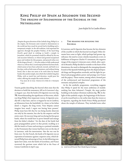# King Philip of Spain as Solomon the Second The origins of Solomonism of the Escorial in the **NETHERLANDS**

Juan Rafael de la Cuadra Blanco

' the empire, the fortunate saint wanted to demonstrate to Despite the great devotion of the Catholic king, Philip II, to the world just how much he served God in building such a sumptuous temple. In the old tradition, God expressed his approval, through the prophet Nathan, of the loyal King David's good deed in wishing to build a temple in Jerusalem, which he promised would be offered by his son and successor Solomon, to whom God granted exceptional peace and wisdom for this purpose, and poured riches over all the kings of Israel [...]. He who wishes to fully understand what it is, will see that a second temple of Solomon has been built, which seems to have been achieved, erected, and built in so few days, with so little noise of hammers, and without being heard, that it does not seem to be work done by human hands, this saintly temple, into which the Catholic king don Philip, with so much love and devotion, would pour his riches, offering the temple like another Solomon.' <sup>1</sup>

Fray Joan de la Cruz: Historia de la Orden de S. Hieronymo  $(1591)$ 

Tourist guides describing the Escorial often state that the decision to build the monastery, fell on St Lawrence's day, 10 August 1557, that the battle of St Quentin was won (fig. 74). Notwithstanding the significance of this event, which was King Philip's first important victory, St Quentin actually fell 17 days later, and on 10 August he was in Cambrai, 40 kilometres from the battlefield. In a letter to his father dated 11 August, the king wrote, 'Your Majesty cannot imagine how much I regret not having been present'. Philip must have felt that he was being keenly observed, not only by his enemies, but also by the emperor and his entire court. He was now king and was facing his first great battle, where he would have to prove himself and emerge from his father's shadow.<sup>2</sup> Yet the date of the battle had great propagandistic power in that period, recalling as it did the insult to France and serving as a pointed reminder to the Protestants that victory had been won on the day of St Lawrence, with his intervention.3 But the war was far from over. For the French, the battle of St Quentin was an expression of resistance against a superior army, which deterred Philip from advancing to Paris. In the following year, Spain lost Calais, won the battle of Gravelines, and France recovered the garrison town which led to the Peace of Cateau-Cambrésis in April 1559.

# 1 The reasons for building the **ESCORIAL**

St Lawrence and St Quentin thus became the key elements of the crucible in which the Escorial was forged. Other elements have come to light, which perhaps had greater significance: the need to create a family mausoleum ex novo, in fulfilment of Emperor Charles V's testament; the negative image of the emperor's itinerant court, which, after a period in Brussels, Philip decided to transfer to the heart of his dominions; the need to distinguish the emerging dynastic branch of the Spanish Habsburgs from the dispersed Spanish kings and Burgundian overlords; and the fight for political and propagandistic power and prestige over France and the papacy. These reasons, among others, formed part of the architectural and functional programme of the monastic and palatial complex.

As for the symbolic programme, everything suggests that Philip II opted for the most ambitious of models: nothing less than Solomon's Temple, the most perfect building in the Judaeo-Christian tradition (fig. 75 ). In the light of this symbolic origin, the beginnings of the Escorial can be traced back to a far earlier date than the victory at St Quentin, regarding the books Prince Philip purchased about the temple of Solomon. They included none other



73 Aerial view of El Escorial. Photo Yolanda Piqueras Domínguez.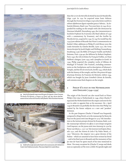

74 March of the Spanish troups toward the gate of St Quentin. Lázaro Tavarone, The Battle of St Quentin, 10 August 1557, fresco, 1590, 384 x 284 cm. Real Monasterio de San Lorenzo de El Escorial, Hall of Battles. Photo Patrimonio Nacional.



75 Model of the temple of Jerusalem based on the reconstruction of Dr Michael Avi-Yonah, Hotel Holyland, Jerusalem. Photo Juan Rafael de la Cuadra Blanco.

#### 170 Juan Rafael de la Cuadra Blanco

than the Le Livre des Merveilles du Monde by Jean de Mandeville, Liège 1356. In 1541 he acquired some basic Hebrew through the Dictionarivm trilingve, in qvo scilicet latinis vocabvlis in ordinem alphabeticum digestis respondent graeca & hebraica... by Sebastián Münster, Basel 1530. Two years later, in 1543, he expanded his reading on the temple with Liber chronicarum by Hartman Schedell, Nuremberg 1493; the Commentariorum in Ezechielem Prophetam by St Jerome (the Basel edition of 1540 with a commentary by Erasmus); and the Postillae by Nicolás de Lira, acquired in 1545. In 1547 he would buy the 1534 Lyon edition of Ricardo San Víctor's commentaries on Ezekiel. Other additions to Philip II's rich library were the Laudes Hierusalem by Charles Bovelle, Lyon 1531; the Terrae Sanctae descriptio by Jacob Ziegler and Wolfang Vuessenburg, Strasbourg 1536; the Bible of François Vatable and Robert Estienne, Paris 1539-40; the Bibliorum by Roberti Stephani, Paris 1540; the Libro de Relatos by François Frellón, on Hans Holbein's designs, Lyon 1543; and a Josephus in Greek. In 1545, Philip acquired the complete works of Alfonso de Madrigal 'el Tostado' ('the Toasted'), including commentaries on the Paralipómenos and its description of Solomon's Temple, and the Silva de varia lección, Seville 1543, which deals with the history of the temple; and the Libro primero del espejo del principe christiano, by Francisco de Monzón, Lisbon 1544, which was bought by Juan Cristóbal Calvete de Estrella, and contains some final chapters on the temple.

# 2 Philip II's stay in the Netherlands and England (1549-1559)

The origin of the Escorial can also traced back to Prince Philip's first trip to Netherlands in 1549, when Charles V separated the Netherlands from the empire and sent for his son in order to appoint him as his successor. On 1 April 1549 in Brussels was probably the first time that Philip was exalted by his future subjects as a new and 'prudent' Solomon.

In the past Emperor Charles V himself was frequently compared to King David, as in the manuscript by Remy du Puys on the joyeuse entrée into Bruges in 1515;<sup>4</sup> the introduction to the Institutio principis christiani by Erasmus, Basle 1516; the manuscript Salomonis tria officia ex sacris derupte navigation Caroli Imperator, on the joyeuse entrée into Antwerp in 1520 by Pieter van Ghent, c. 1517-20;<sup>5</sup> the Gestorum Caroli Quinti, Brussels 1531; and the Historia de Carlos V by Pedro Mexía, s.l. 1551.<sup>6</sup> Moreover, the emperor was a great devotee of the Psalms – which are assumed to have been written by David – and in his final years in Brussels and the monastery of San Jer imo de Yuste he spent much of his time immersed in them. 'On many occasions he [Charles V] weeps and sheds tears as copiously as if he were a child. He spends night and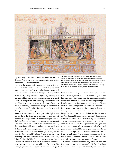

day adjusting and setting his countless clocks, and does little else ... And he has spent many days reading and having read to him the psalms of David.'7

Among the various festivities that were held in Brussels to honour Prince Philip, Calvete de Estrella highlights the conventional triumphal arches and tableaux vivants created by the chambers of rhetoric: 'in the square there were live characters sporting Hebrew insignia, representing the crowning of Solomon as king of Israel with the consent of his father, King David, and displaying lines of verse that said, "You are the prudent Solomon, who by order of your just father, rule the kingdoms, which belong to you, to the great joy of the people"'.<sup>8</sup> This allusion would be repeated throughout the trip. The significance of Charles V's succession was stressed in Ghent, the emperor's birthplace: 'On top of the arch, there was a painting of the story of Solomon, showing how he was anointed king of Israel by the Priest Zadoc and the prophet Nathan, at the request of his father, King David, and when the curtains were opened, there was King David, very old and grey, sitting on his royal throne, and beside him, his son Solomon'.9 We come across similar texts in the entries of Bruges: 'more powerful were the Kingdoms of David and Solomon, for they were chosen by God, just like the emperor, Charles and his son, Prince Philip';<sup>10</sup> in Lille: 'Solomon was recognised in the kingdom of Jerusalem with great popular rejoicing: because, just as the emperor resembles his father David in mercy, so you in turn, as his son, follow in the footsteps of

76 A tableau vivant by the Antwerp Chamber of Rhetoric 'De Goudbloem' comparing Charles V and Philip II with the Biblical kings David and Solomon. Jacques Le Boucq, Le très admirable triumphe de la noble Ordre de la Thoison d'Or, célébrée en la florissante Ville d'Anvers l'an 1555. Vienna, Archiv des Ordens vom Goldenen Vlies als Depot im Österreichischen Staatsarchiv, Abteilung Haus-, Hof- und Staatsarchiv, Codex 24, fols. 14v-15. Fotostudio Otto.

his son, Solomon, in goodness and saintliness';<sup>11</sup> in Tournai: 'Just as the prudent King David, divine Prophet, made Solomon king before he died, so the emperor ... grants his son his own empire';<sup>12</sup> in Leiden: 'representing, through living characters, how Solomon was anointed king of Israel, while his father, King David, was still alive'.<sup>13</sup> The same allusions were made in Haarlem, the next stop in the journey, through the representation of Solomon's anointment as king and the famous scene with the boy and the two mothers. The Queen of Sheba is also represented.<sup>14</sup> To conclude, Calvete's last reference concerns the city of Amsterdam, where the people are described as expressing joy in the chosen heir: 'In times past, the people of Israel were glad that King Solomon would rule the kingdoms that his father had granted him, we should be just as glad today that, almost certainly, such a prince will succeed the emperor... Just as Israel rejoiced, seeing Solomon triumph, even while the father put him in the royal throne, at which Israel rejoiced and gladly accepted him, as ordained by David.'<sup>15</sup>

Similar allusions were made during Philip's second stay in the Low Countries. A few days after his father's abdication of the Spanish kingdoms to Philip II, during the festi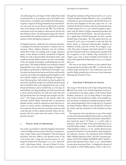vals celebrating the 22nd chapter of the Golden Fleece held in Antwerp from 19 to 30 January 1556, a local tableau vivant performed at a triumphal arch included the following inscription: 'Long live the king, blessed by the Lord God of Israel, who now sits on my throne as did David in another time, in his old age, with his son' (fig. 76 ). Two of the representations were very similar to those seen in the first trip described by Calvete: one showing the king on his throne, surrounded by the symbols of power, and the other depicting him in bed, advising his young son. 16

In England, however, unlike the Low Countries, Solomonic metaphors for dynastic succession or wisdom were unnecessary. There, religious divisions were the problem, which Mary Tudor was tackling with a tough, repressive policy. A new element would be introduced in England: Philip, not only as the peaceable and prudent prince, who would succeed his bellicose father, but also as the builder of the new temple of Jerusalem, symbolising the new religious unity. This image of Philip II was created by cardinal Reginald Pole (1500-1558), the pope's legate in England, in his address to parliament at Whitehall in November 1554: 'he said to the king that he had served God so well from the outset by converting and subjugating this kingdom to the true Catholic religion: and that although the emperor, a most Christian prince, had worked very hard to gather the materials to build the temple, our Lord had only permitted that it should be built and completed by his son: as with David and Solomon; and so it befell that, in a few days, he had finished a very large building, not with materials such as those used by Solomon, but with the saved souls that had previously been lost through bad example and doctrine.'17 The image presented in this speech, which the chronicler Andrés Muñoz obtained from an anonymous Spanish witness, would be repeated on more than one occasion. As various authors, including José Luis Gonzalo, have observed, the fact that this anonymous witness could recall this part of Pole's address precisely reflects the impression that his words must have made, at least on the Spanish courtiers.<sup>18</sup>

#### 3 Philip, king of Jerusalem

On 25 July 1554 Charles V ceded the kingdom of Jerusalem to his son Philip on the occasion of the latter's second marriage, to Mary Tudor, queen of England.<sup>19</sup> The title 'king of Jerusalem' had been added to the Spanish crown in the 13th century after a long and tortuous process. In 1227, Emperor Frederick III of Germany (1212-1250) – like Frederick I, called king of Sicily – the son of Henry VI of Germany (1165-1197) and Constance of Naples, was married through the mediation of Pope Honorius III (1216-1227) to Yolande, daughter of John of Brienne (1148-1237) and Mary of Montferrat, queen of Jerusalem and therefore heiress to the first Latin kingdom of the East (1099-1187). In 1228 Frederick III left for Jerusalem, after his excommunication by Pope Gregory IX (1227-1241), where he signed an agreement with the Sultan of Egypt reinstating Jerusalem and the Holy Places for the Christians - this was achieved without a single drop of blood being spilt. He then crowned himself king of Jerusalem. The title passed from his son Conrad IV (1228-1254), to Conradin (†1258) and, after the latter's death, to Constance Hohenstaufen, daughter of Manfred of Sicily, and wife of Peter III of Aragon (1239- 1285). The union of Aragon and Castile ushered in a long period of isolation of the East, which partly coincided with the recognition of the Catholic king, Ferdinand II of Aragon (1452-1516), as king of Naples and Jerusalem, by virtue of the papal bull of Pope Julius II (1503-1513) dated 3 July 1510.

The arms in the King's Window in Sint Janskerk show the quartering for Jerusalem (fig.  $40$  ), $^{\circ}$  so beloved of the Catholic kings and Charles V, but would soon cease to be used by Philip, probably due to the wave of anti-Semitism following the Council of Trent.

#### 4 The King's Window of Gouda

The image of The Dedication of the Temple of King Solomon (fig. 36) must have made a very marked impression, because it is represented in the upper register of the famous King's Window, donated in 1557 by King Philip II and Queen Mary Tudor to Sint Janskerk in Gouda. In the middle register the donors are depicted, kneeling in perpetual adoration, and participating in The Last Supper (fig. yyy). In general the King's Window alludes to the real presence of God in the church and the institution of the Eucharist by Jesus Christ.

The important Latin inscriptions on top of the temple are taken from the Second Book of Chronicles, in which the consecration of the first temple of Jerusalem is described: 'I have heard thy prayer' (II Chron. 7, 12: God's reply to Solomon), 'And as for thee, if thou wilt walk before me, as David thy father walked ..., then will I establish the throne of thy kingdom' (2 Chron. 7:17-18) – another allusion to the succession of Charles V. On the platform of the temple below Solomon, however, the inscription ECCE SALOMO HEIC ('Behold, Solomon is here'), the New Testament paraphrase ECCE PLVS QVAM SALOMON HEIC ('behold, a greater than Solomon is here', Matt. 12, 42) – which alludes to none other than Jesus Christ – is displayed in the part of the window in which Philip appears. There is also an in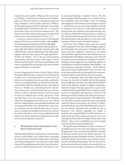scription about the apostles, 'Philippe, qui videt me, videt et patrem' ('Philip [...] he that hath seen me hath seen the Father', John 14, 9), where the reference to this specific apostle, the king's namesake, is clearly another reference to Philip II. He also paid homage to Charles V's devotion to the psalms by reproducing the well-known Psalm 118, 1: 'It is good to give thanks to the Lord, for his love endures forever'. This psalm was recited by Solomon during the ceremony of The Dedication of the Temple of King Solomon (II Chron. 7, 3).<sup>21</sup>

A curious yet important detail in relation to the dog that appears in the lower part of The Last Supper was revealed in a document discovered in the archives of the Royal Palace in Madrid by José Luis Gonzalo, indicating that in 1558, while still resident in Brussels, the prince had a dog called 'Salomón', after the biblical king. This noble canine, together with two other dogs of less regal appellation – 'Rosilla' and 'Capitán' – were in the care of his huntsmen Luis Martínez and Alonso Marcos. Once again we find a link between the founder of the Escorial and Solomon, this time in an indisputable fact bearing on the most mundane aspects of Philip II's everyday life.<sup>22</sup>

Let us not forget that the Roman Catholic Church and the Protestants differed in their interpretation of the Eucharist as either an act of transubstantiation, in which the bread and wine are transformed into the true Body and Blood of Christ, or as a simple symbolic act. The doctrine of the adoration of the Sacred Form was defined in the 13th session of Trent of 11 October 1551, and instituted in the 22nd session of spring 1562. Its anti-Protestant character is unmistakable: in order to 'repudiate the errors', and the 'heresies to avoid' were added in chap. 8 of the 13th session: 'If any one saith that in the holy sacrament of the Eucharist, Christ, the only-begotten Son of God, is not to be adored with the worship of latria, also outwardly manifested; and is consequently neither to be venerated with a special festive solemnity nor to be solemnly borne about in processions, according to the laudable and universal rite and custom of holy Church; or is not to be set publicly before the people to be adored, and that the adorers thereof are idolaters, let him be anathema' (Canon 6).<sup>23</sup>

# 5 **EXECONSTRUCTING THE RUINS OF THE** true Temple of God'

With the death of Charles V, Solomonism evidently shifted from the world of ideas to the world of action, prompting the 'New Solomon' to build his temple. Many authors have attached great importance to the moment in which Philip II heard of the modification of his father's last will and testament, in which he stated his wish to be buried in a newly constructed building in Spanish territory. The first known chronicle of the monastery (1591), which has not yet been published, states that Philip's 'reason for building that sumptuous royal monastery was that Emperor Charles V ... said that there was no reason why it should not be built in Granada, in the company of such saintly and glorious ancestors, but, had considered, with reason and logic, that he could not and should not take precedence over them, as this would be rather disrespectful, and on the other hand, if he allowed them to take precedence over him, this would constitute a blatant insult to his imperial dignity'.<sup>24</sup>

Until then, Prince Philip's artistic tastes were formed under the guidance of his aunt, Mary of Hungary, regent of the Netherlands. The young prince's dealings with architecture had been confined to alterations to the palaces where he liked to spend his leisure time. He had never concerned himself with religious architecture, least of all with the construction of an entirely new building. It would be a challenge to find a single idea that could bring together, in a building that would be the emblem of his kingdom – the most important monarchy in Europe – all the different functions that such a building had to serve. The slate roofs of the Pardo and Escorial were among the first architectural elements that he imported from the Low Countries.

Yet on 29 December 1558, at his father's funeral, Philip hit upon the idea that he needed, and that had perhaps been crystallising in his mind. He would model his father's tomb on the foremost example of religious architecture: Solomon's Temple. This idea, expressed in 1554 by Cardinal Reginald Pole during Philip's trip to England, as stated earlier, was expounded at the appropriate moment in the Brussels church of St Gudula by one of the most famous orators of the period, François Richardot.<sup>25</sup> The bishop of Arras, Granvelle's successor, stressed the often-cited episode related by Calvete in his felicísimo viaje: Charles V's abdication in his lifetime, just as David had abdicated in favour of his son Solomon. Richardot then provided the key to Solomon's wise decision regarding the temple of Jerusalem. He counselled Philip II to follow Solomon's example and to put all his energy and resources into reconstructing 'the ruins of the true temple of God, which is the Church' – that is, into re-establishing the cult and single creed that the Reformation had destroyed.<sup>26</sup>

The specifications of Solomon's Temple were known in the Middle Ages from the works of St Augustine and other Neoplatonists. Many considered them ideal for the design of Christian churches, given their divine inspiration. Yet temples such as those of St Sophia, St Denis,<sup>27</sup> and above all the Sistine Chapel<sup>28</sup> derived more than symbolic inspiration from the Jerusalem prototype. The fact that the temple that Jesus had known was built in the classical style, reflecting Vitruvian principles of proportion and harmony,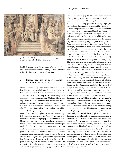

77 Lucas de Heere, The Queen of Sheba visits King Solomon, 1559, canvas, 183 x 260 cm, Ghent, Cathedral of St Bavo. Photo Maeyaert.

justified to some extent the recreation of pagan splendour in a Christian society and in a building that was intended to be a flagship of the Counter-Reformation.

### 6 Biblical examples of political and religious unification

Many of Prince Philip's first artistic commissions were based on important mythological, biblical, and of course Solomonic, themes.<sup>29</sup> The most important example of Solomonism, with which Philip II was already wholly identified, can be found in the painting The Queen of Sheba visits King Solomon in the choir of St Bavo's Cathedral in Ghent painted by Lucas de Heere (1534-1584) in 1559 on the occasion of the 23rd chapter of the Order of the Golden Fleece (fig. 77 ). The painting was based on the well-known biblical episode (I Kings 10, 1-13 and II Chron. 9, 1-12), at the request of the chancellor Viglius van Aytta (1507-1577) (fig. 57 ). Solomon is represented with Philip II's features: with blonde hair, a beard, a hanging lip and a pronounced chin. His attire, including a laurel crown, rather corresponds to that of a Roman emperor, in tune with the Roman temple depicted in the background. The throne leaves us in no doubt as to the painting's intention, for it is the famous gold and ivory throne of Solomon, with two lions beside the armrests and six steps (1 Kings 10, 19; and II Chron. 9, 18). In a subtle allegory, the Queen of Sheba represents the Low Countries, which place their riches at the king's disposal in exchange for the latter's just and wise rule. The composition is clearly based on the same source as The Queen of Sheba visits King Solomon (window 5, 1559) by Wouter Crabeth in Sint Janskerk (fig. 78). The Latin text on the frame of the painting by De Heere emphasises the parallel between Philip II and the biblical king:<sup>30</sup> in the same manner, another Solomon, Philip, pious jewel among kings, gave here and elsewhere amazing examples of his wisdom'.

These comparisons would continue to echo in the religious wars with the Protestants, although not always in the form of a panegyric. Hendrick Goltzius (1558-1617), who collaborated with the famous engraver Philip Galle (1537- 1612), made an engraving in the last quarter of the 16th century with an interesting allegory against the Inquisition. Solomon was represented as a 'Crudelis princeps' (the cruel sovereign), surrounded by the false mother ('Falsa Ecclesia' – the False Church) and the evil counsellors, who do not listen to the true mother ('Vera Ecclesia' – the True Church). Solomon leaves the dead child on the floor (Barrabas, the real delinquent) and, in contrast to the biblical account (I Kings 3, 16-28), slashes the living child into two (Christ). This child represents the victims of the Inquisition who, like Christ, were unjustly killed and martyred. The evil counsellors surrounding the throne personify the practices of the Inquisition. Meanwhile, the Protestants in the front demonstrate their opposition to the evil counsellors.<sup>31</sup>

As we see, the biblical parallels were not only tributes to Solomon's building and his qualities of wisdom, prudence and pacifism, but also contained elements of religious propaganda, which had particular relevance in the Low Countries. King Solomon accomplished the great task of religious unification, as recalled by Cardinal Pole and Richardot. A highly disparate group of nomadic tribes were brought together under King David and his son Solomon. While the Israelites in the north worshipped the Ark of the Covenant, where the Tablets of the Law were kept, the Judahites of the south worshipped their God from their high mountain territory. Perhaps the most important achievement of these two kings is not that they made their kingdoms respected by powerful neighbouring countries, but that they brought about the spiritual unity of the tribes of Israel and Judah. David shrewdly placed the Ark of the Covenant in a fixed temple – with the same proportions as the movable Tabernacle, where it had been worshipped until then. This temple was situated on Mount Moriah in the outskirts of Judah's capital, Jerusalem, a city that, though at the kingdom's geographical centre, had not been very important until then. Thus David also succeeded in uniting the religious cults of his territories, with his power as political and religious head of the State. God himself designed and even sketched the plans for the future temple, which he handed to King David. Nevertheless, God disapproved of David's warring past, and therefore gave the task of constructing the temple to his son, the peaceable and wise king Solomon.<sup>32</sup>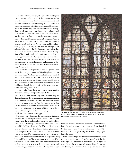For 16th-century architects, who were influenced by the Platonic theory of ideas and musical and geometric perfection, the temple of Jerusalem's divine measurements and plans held the secret of the harmony of the universe, the music of the spheres. Scientific humanists could not reconstruct the temple simply on the basis of biblical descriptions, which were vague and incomplete. Hebraists and philologists, however, who were influenced by Erasmianism, had access to far more heterodox sources such as the Hebrew Talmud, Bible commentaries by Panguini, Vatable and Münster, and historical sources of Judaism from the 1st century AD, such as the Roman historian Flavius Josephus (c. 37 CE – c. 100). Given that the description of Solomon's Temple in the Old Testament only referred to its interior, the exterior was often derived from descriptions of the second temple built by King Herod in the time of Jesus, provided by the Rabbis and Josephus.<sup>33</sup> This temple, built in the Roman style of the period, satisfied the humanist interest in classical antiquity and appealed to Emperor Charles V and his son, who were drawn to the attributes of imperial Rome.

The Escorial monastery would become the symbol of the political and religious unity of Philip's kingdoms. For this reason the Royal Pantheon was placed at the very heart of the monastery, exalting the Habsburg dynasty. The architecture of the temple, as already noted, would leave a strong imprint in the architectural conception of the building, although the complexity of the task would prevent it from being fully realised.

In 1559, Philip found the architect with classical training that he was looking for in Juan Bautista de Toledo (c. 1530- 1597). In 1563, construction began on the monastery, in classical Roman style, on a remote mountain at the centre of the Iberian peninsula. It would be occupied by the Jeronymite order, a mainly Castilian, courtly order that Charles V had also chosen for his retirement in Yuste.34 Just before the laying of the first stone, Philip transferred the capital of the kingdom to the nearby village of Madrid – which was then a simple hunting ground.

Elsewhere I have discussed the extraordinary similarity between the southern part of the Escorial – the convent proper – and the second temple of Jerusalem built by King Herod in the 1st century BC on the site of Solomon's Temple, which had been destroyed (fig. 79).<sup>35</sup> Unlike the first temple, which is barely described in the Bible, this rectangular temple was described in meticulous detail by Josephus in the Jewish War. Its dimensions and proportions coincide with those of the Hebrew *elbows*, as they were used by Pliny and Herodotus. The architectural scheme – the 'Universal Plan' – is almost identical: four courtyards arranged in the form of a cross, separated from the central courtyard by a staircase, where the monks lived. The towers were also



78 Wouter Crabeth, The Queen of Sheba visits King Solomon, stained-glass window, 1559, 11.26 x 4.78 m. Gouda, Archief Sint Janskerk, inv. no. 5. Netherlands Department for Conservation. Photo G.J. Dukker.

the same, before Herrera simplified them and added the library above the entrance.<sup>36</sup> The Counter-Reformation - led by the Jesuit Juan Bautista Villalpando (1552-1608)– favoured a third temple: the square temple in the prophet Ezekiel's vision.

Medallions were placed at the entrance of the basilica to commemorate the laying of the first stone (1563), the first Mass (1586) and the consecration of the basilica (1595), in which he is referred to – merely – as the king of Spain, the Two Sicilies, and Jerusalem.<sup>37</sup> And very close by stand the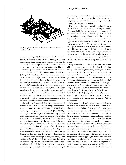

79 Morphogenesis of El Escorial according to Fernando Chueca Goitia compared with the temple of Jerusalem.

statues of the kings of Judah, unquestionably the main evidence of Solomonism preserved in the building, which are prominently situated at the main entrance to the church. The inscriptions on the pedestals, written by Fray Santos in 1660, are quite significant. The inscription on David reads: 'Operis exemplar a Domino recepit' (I Chron. 28).38 And on Solomon: 'Templum Dño [Domino] aedificatum didicavit' (I Kings 6).39 According to Fray José de Sigüenza (1544- 1606), the idea of the kings came from Benito Arias Montano (1527-1598), although the sketch of the text for the pedestals has been lost. He himself had prepared some biblical phrases, at Philip's request, but after the king's death this commission came to nothing. They are wrongly called the kings of Judah, in that they only came to be known as such after the split caused by Rehoboam, Solomon's son, who divided his father's kingdom into Israel in the north and Judah in the south. By a curious coincidence, Philip's successors, like Solomon's, would lose their northern kingdoms.

The positions of David and his son Solomon correspond to those of his Charles V and his son Philip II in the funeral monuments on either side of the altar in the presbytery, conveying a strong dynastic symbolism (figs. 65 and 66). The emperor and the king with their families are portrayed in an attitude of prayer, adoring the Eucharist displayed in the sacristy. Adoring should be understood in this context as meaning, in accordance with the etymology of the Latin word ad-orare, to put one's hands before one's mouth, in the sense of a supplication. The statues of the deceased at prayer should be interpreted as the deceased 'in effigy' participating in the Mass celebrated at the altar, and that they benefit, like the living, from the blessings of the sacrament. The deceased achieve redemption and grace through the sacrifice of Christ's death, and their images kneel before his Eucharistic Body. The Jeronymites were an eminent, contemplative order and, therefore very suitable for carrying out the liturgical precepts of Trent. The precepts obliged

them to pray in chorus at least eight hours a day, even on feast days. Besides regular Mass, three other Masses were sung daily in the Escorial, in addition to the perpetual adoration of the sacrament in the altar.<sup>40</sup>

The hierarchy has been carefully studied: Emperor Charles V is represented next to his wife, Empress Isabella of Portugal; behind them are his daughter, Empress Maria of Austria, and Charles V's sisters, Queen Eleonore of France and Queen Mary of Hungary on the side of the Gospels, which in the past could only be read by the priest. Opposite them, on the side of the Epistles, which may be read by any layman, Philip II is represented with his fourth wife, Queen Anna of Austria, mother of Philip III; behind them, his third wife, Queen Elizabeth of Valois, his first wife Princess Maria of Portugal and his son, the prince Don Carlos; Mary Tudor, his second wife, was buried at Westminster Abbey as befitted a Queen of England. The royal coat of arms above the statues is very prominent, as in the façade.

The presence of Solomon's successors, who were responsible for preserving the temple, is reflected in the four empty niches flanking the praying statues, which Philip intended to be filled by his successors, although this was never done. Furthermore, the king commissioned two paintings on Solomon's other virtues besides that of having been the builder of the first House of God: in Philip's chamber, the virtue of justice is represented in The Judgment of Solomon by the Dutch painter Pieter Aertsen (1508-1575) in 1562, the year when the foundations for the Escorial started, and in the library, King Solomon displays his Wisdom to the Queen of Sheba (1586) in the painting by the Italian artist Pellegrino Tibaldi (1527-1596). Justice and wisdom are two qualities that were also often attributed to Philip II, besides prudence.

As in Gouda, there is nothing gratuitous about the artistic motifs and texts in the Escorial. The allusion to the Church in the medallion celebrating the first Mass (1586) and the statues in perpetual adoration in the sacristy have the same Counter-Reformation connotations as in The Last Supper in Gouda. The Eucharist is depicted at the end of the major axis of representation, which starts at the main entrance, below the library, leading through the entrance to the church – with the kings of Judah and the commemorative medallions – to the flat vault under the choir, the cupola, the altar above the pantheon, and the tabernacle, with the Eucharist and sacristy at its centre, as seen in the famous series of engravings by Pieter Perret (1555-1639) and Juan de Herrera (c. 1530-1597). Herrera, the architect of the building, emphasises this idea by drawing the Sacred Form – the host with the body of Christ – rising above the chalice, inside the transparent tabernacle (drawing IX). This was also noted by Fray Sigüenza, the third librarian of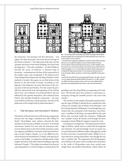



the monastery: 'the principal and first [devotion] ... was rightly the Holy Sacrament, that most devout heritage of the House of Austria'.41 The tabernacle of the altar was the 'purpose and centre of the whole building, the church and the high altar'.42 The other medallion – in which Philip II, beneath the statue of Solomon, is declared king of Jerusalem – commemorates the date of the consecration of the temple (1595), and corresponds to The Dedication of the Temple of King Solomon depicted in the King's Window of Sint Janskerk in Gouda. Once again, we can find echoes of the Escorial in the old motifs of Gouda. According to Fray Sigüenza, who dedicates two entire discourses to the consecration of the Escorial basilica: 'For this reason the pontiffs have determined since the beginning of the Church (this is not a new tradition, as its enemies believe, but one followed by the apostles themselves, who embraced Jesus Christ), that churches should be consecrated ... the same Lord wished to authorise, with his presence, the feast of the dedication of the temple built by Judas Maccabeus'.43

#### 7 The Escorial and Solomon's Temple

Chroniclers of the Escorial were still drawing comparisons between the two kings a hundred years after Philip II's death.44 Nevertheless, some authors criticised the Solomonism of the Escorial, probably on account of its Jewish associations. Indeed, five years after his numerous references to Solomonism in the Historia of the monastery (1600), Fray Sigüenza published a Descripción of the Escorial devoting an entire chapter (chapter 22) to the differences between the Escorial and Solomon's Temple, with special reference to the budget: 'A comparison and discussion of this temple and house with other famous buildings, especially Solomon's Temple'.45 The subject was indeed at the heart of a growing polemic, as criticism began to emerge about the



80 1. The sanctuary of the second temple of Jerusalem. According to the description by Flavius Josephus the court of the priests was inside and the four service courts were in the lower part (atrium culinarii).

2. Fernando Chueca's hypothesis (modified): the architecture of the Hebrew sanctuary did not serve as a model for the basilica; rather, the Italian architect Francisco Paccioto copied its architectural design from the Vatican. To allow sunlight to enter the monastery court, the church was placed to the north, leaving a small temple with the four Evangelists as a 'scar' in the middle. Nevertheless, the form of the sanctuary was ideal for the king's private chamber. As in the monastery of San Jerónimo de Yuste, the chamber adjoins a presbytery, so that the king could follow the Mass from his bed.

3. Juan de Herrera and Pieter Perret, First design of El Escorial, 1583, publ. 1587, 48.4 x 61.4 cm, copper-engraving, Madrid, Biblioteca Nacional, inv. no. 28841. A palace was added to the scheme to regain symmetry, with a court and a college for future generations of monks following the same scheme as the courts of the monastery.

spiralling costs that King Philip was imposing on his subjects. The Escorial must have seemed an unnecessary extravagance during the unstable period at the end of the century.46

The treatises on the temple of Jerusalem produced during the reign of Philip II should also be considered in this context; for example, that by Benito Arias Montano<sup>47</sup> and his rival Juan Bautista Villalpando,<sup>48</sup> even though they were written after the conception of the monastery. Arias Montano, a confidant of the king, was responsible for the royal library that was built inside the monastery. Villalpando was a student of Juan de Herrera, and through the latter managed to obtain Philip II's support to print his work.

According to Fray Sigüenza,<sup>49</sup> the king had some knowledge of Hebrew, which seems to clash with his supposed anti-Semitism. Yet such knowledge was by no means rare in a period devoted to biblical studies, although this would be some years later. As mentioned earlier, Philip II was always referred to as king of Jerusalem, even though this was only a symbolic title. The importance that the Burgundians attached to the spirit of the Crusades and to Jerusalem as the cradle of Christendom must have carried more weight than any possible heterodoxies, which neither he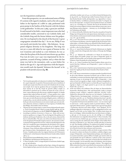nor the Inquisition could permit.

From this perspective, we can understand some of Philip II's actions with regard to Judaism, such as his role as godfather in the baptism of a rabbi in 1589, performed with great pomp in the basilica of the Escorial, with the Infanta as the godmother: 'In this year [1589], a great Jew and Rabbi and learned in his faith, a most important man who had considerable wealth, converted to our Catholic faith; and the Catholic king and the Serene Infanta were his godparents. He was baptised in the church of the Escorial. A great congregation attended that day'.50 As we see, Philip II was not exactly anti-Jewish, but rather – like Solomon – he opposed religious diversity in his kingdoms. The king was not yet 22 years old when he was a guest of honour in the Low Countries and exalted as a new Solomon; he was 32 when the first plans of the Escorial were drawn up; 49 when Fray Luis de León (1527-1591) was imprisoned by the Inquisition, accused of being a Judaist; and 57 when the last stone was laid in the monastery, only 14 years before his death at the age of 71. Age and experience with the Inquisition would teach the Spanish 'Solomon the Second' to be prudent with Jewish sources (fig. 80).

#### **NOTES**

- 1 'Por lo mucho quexcedio en la deuocion el catholico Rey Philippo Segundo a aquel emperado, ha querido el bienauenturado sancto manifestar al mundo quan acepto tenia Dios este serucio de la fundacion de tan sumptuso templo. En la vieja ley agradecio Dios por el propheta Nathan, el buen intento de su leal Rey Dauid de quererle edificar templo en Hierusalem le prometio que le recibiria de manos de su hijo y sucesor Salomon, a quien adornaria para ello con paz y sabiduria singular, y le añadio riquezas sobre todos los Reyes de Israel [...]. El que quisiere creer y saber con mas certidumbre lo que es, vealo que hallara edificado otro templo de Salomon, que con todo ello pareciese hariense allegado, puesto, y edificado en tan pocos dias, y tan sin ruido de martillos, y sin sentir, que no parece obra hecha por solas manos humanas en este sancto templo, que con tanta aficcion y deuocion, mostrara y empleara en el sus riquezas, el Catholico Rey don Philipo, ofreciendolo como otro Salomon.'
- 'Mi pesar de estar ausente supera a cuanto Vuestra Majestad pueda suponer.' See M. Fernández Álvarez, Felipe II y su tiempo, Madrid 1998, pp. 765-767. On the battle of St Quentin, see also G. Parker's Prologue, pp. 14-16.
- According to tradition, St Lawrence (c. Huesca 230 Rome 258) was martyred on a gridiron on 10 August. We owe the legend of the gridiron to St Ambrose and the poet Prudentius, who, in the 4th century, distorted the facts to colourful effect. The saint, one of the seven Roman deacons, was in fact decapitated. We should recognise, however, the enormous aesthetic potential of the legend of St Lawrence, which was hardly disputed at the time, for it would have great consequences for the history of art, appearing – always with the gridiron – in the works of e.g. Fra Angelico, Tibaldi, Cincinatto, Titian, Zurbarán, Ribera and Bernini. See D. Attwater, The Penguin Dictionary of Saints, Harmondsworth 1973, p. 214; and J. Hernández Ferrero, 'Consideraciones sobre los orígenes históricos de El Monasterio de El Escorial', in Real Monasterio-Palacio de El Escorial. Estudios inéditos, Madrid 1987, p. 15.
- 4 Österreichische Nationalbibliothek, Vienna: cod. Vindod. no. 2591.
- 5 Real Biblioteca del Monasterio de El Escorial, case 13.
- 6 F. Checa Cremades, Carlos V. La imagen del poder en el renacimiento, Madrid 1999, pp. 53f, 59f, 78f and 92.
- R. Tyler, Calendar of Letters, Despatches and State Papers, relating to the negotiations between England and Spain, preserved in the archives at Simancas, [Vienna, Brussels]

and elsewhere, London 1916, vol. 9, p. 225: Archivo General de Simancas Estado, leg. 98, fol. 274: 'Memorial que embio Francisco Duarte de lo que le dixo Nicolas Nicolai', Seville, 9th September 1553. Quoted by J. L. Gonzalo Sánchez-Molero, 'La biblioteca postrimera de Carlos V en España: las lecturas del emperador', in Hispania. Revista Española de Historia 206, Madrid 2000, p. 931. According to J.L. Gonzalo, this may be the Elucidatio in omnes Psalmos iuxta veritatem Vulgatae & Ecclesiae usitatae aeditionis Latinae, quae & ipsa integra illibataque exadverso opponitur ..., Antwerp 1531, by the Belgian Franciscus Titelmannus de Hasselt.

- 8 J.C. Calvete de Estrella, El felicisímo viáje d'el muy alto y muy poderoso Principe Don Phelippe, hijo d'el Emperador Don Carlos Quinto Maximo, desde España a sus tierras de la baxa Alemaña: con la descripcion de todos los Estados de Brabante y Flandes, Antwerp 1552, vol. 2, pp. 65 and 65v.
- Ibid., p. 100 f: 'En lo alto d'el arco se hazia una quadra, en que se representaua la historia de Salomon, como fue vngido por Rey de Isrrael por el Sacerdote Sadoc, y el Profeta Nathan con voluntad d'el Rey Dauid su padre, y abriendo las cortinas parecia el Rey David muy viejo y cano sentado en su real silla, y cabe el su hijo Salomon.'
- 10 Ibid., p. 117: 'quan firmes los Reynos de Dauid y Salomon por ser elegidos de Dios, como lo fue el Emperador don Carlos y el Principe don Phelippe su hijo.'
- 11 Ibid., p. 137: 'Salomon fue confirmado en el Reyno de Ierusalem con mucha alegria d'el pueblo: porque assi como el Emperador yguala en piedad a Dauid su padre, assi vos siendo su hijo seguis de vuestro grado en lo Bueno y Santo las pisadas de su hijo Salomon.'
- 12 Ibid., p. 153: 'Como el prudente Rey Dauid Propheta diuino antes de su muerte hizo Rey â Salomon: assi el Emperador [...] pone à su Hijo en su propio Imperio.'
- 13 Ibid., p. 283v: 'representauase en el primero por personajes biuos, como Salomon fue vngido por Rey de Israel, biuiendo el Rey Dauid su Padre.'
- 14 Ibid., p. 284.
- 15 Ibid., p. 288: 'Estaua contentissimo en tiempos passados el pueblo de Israel, de que el Rey Salomon couernasse los Reynos, que su Padre le auia encomendado, no menos nos deuemos alegrar agora nosotros con tan cierta esperança, de que vn tal principe ha de suceder al Emperador [...] Assi como en Israel con regozijo se alegrò, viendo a Salomon triunphando, al qual aun biuiendo el Padre le puso en su Real silla, por lo qual Israel con regozijo se alegrò y con alegria aprouò lo, que en esto auia ordenado Dauid.' fols. 14v and 15r
- 16 Archiv des Ordens vom Goldenen Vlies als Depot im Österreichischen Staatsarchiv, Abteilung Haus-, Hof- und Staatsarchiv, Codex 24: Jacques Le Boucq, Le tresad- / mirable tri- / umphe de la / noble Ordre- / de la Thoi- / son dor / Chelebree de La / florisantte Ville / danvers Ian 1555 / Par Treshault & / Tresillustre Prince / Philippes Daustrice / Roy despaigne dangle- / terre de france & / duc de bourgoigne, Valenciennes 1556, fols. 14v-15r: 'Benedictus dominus deus Israel / qui dedit hodie sedentem in solio meo / videntibus oculis meis'; 'Vivat Rex'; and 'Ut quondam David procerum plaudente senatu / arce sua natum regali in sede locavit / carolus augustus modo sic permisit habenas / filius ut regni plena ditione teneret / gaudet et ingenti nunc ergo antverpia plausa / Laetisonusq. tuba fecit aurea sidera clangor /' See E. Roobaert, 'De Triomfbogen opgericht te Antwerpen in 1556, ter gelegenheid van het 22ste Kapittel van de Orde van het Gulden Vlies', in Bulletin Musées Royaux des Beaux-Arts de Belgique / Bulletin Koninklijke Musea voor Schone Kunsten van België 3- 4, 1962, pp. 221-276, esp. pp. 245, 251, 261, 267, and figs. 15-17. Although this information was originally obtained from F. Checa Cremades, Felipe II, mecenas de las artes, Madrid 1992, pp. 20 and 469, it contains some errors, such as stating that the celebrations of the Chapter of the Golden Fleece took place in Brussels in 1555, when they actually took place in Antwerp in 1556. The Chamber of Rhetoric ('la confrarye de la goude') of Antwerp (not Gouda) was called 'de Goudbloem' (the golden flower). I am indebted to Wim de Groot for these references and corrections.
- 'dixo al Rey que en su primera salida auia hecho tan gran seruicio á Dios de conuertir y reducir este Reyno á la verdadera y cathólica religion: y que aunque el Emperador, como chriptianísimo príncipe, auía trabajado tanto en juntar materiales y querer edificar el templo, que nuestro señor no auia permitido sino que lo edificasse y acabasse su hijo: como acaesció á Dauid y Salomon; y assí se a visto, pues, en breues dias aurá acabado un edificio tan grande y no de materiales como el de Salomon, sino de ánimas que tan perdidas estauan por mal exemplo y dotrina.' The original text differs somewhat from that transcribed by the anonymous traveller but it is more explicit still: 'I can well compare him to David, who though he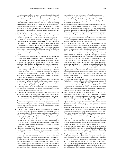were a Man elect of God, yet, for that he was contaminated with Blood and War, he could not build the Temple of Jerusalem, but left the finishing thereof to Solomon, which was Rex pacificus. So may it be thought, that the appeasing of Controversies of Religion in Christianity is not appointed to this Emperor, but rather to his Son, who shall perform the Building that his Father had begun. Which Church cannot be perfectly builded, unless universally in all Realms we adhere to one Head, and do acknowledge him to be the vicar of God, and to have power from above.' See The Parliamentary or Constitutional History of England, 2nd ed., vol. III, pp. 319-320, London 1762.

- 18 For the splendid, extensive study, see J. L. Gonzalo Sánchez-Molero: 'Los orígenes de la imagen salomónica de El Escorial', in Las actas del Simposium: Literatura e imagen en El Escorial, San Lorenzo de El Escorial 1996, pp. 739f.
- 19 L. Cabrera de Córdoba, Historia de Felipe II, Rey de España, book I, chap. V, Madrid 1601, Junta de Castilla y León (ed.), Salamanca 1998, p. 23: 'Felipe y María, por la gracia de Dios Rey y Reina de Inglaterra y Francia, Nápoles, Jerusalén, Hibernia(Irlanda), Príncipes de España yDuques de Milán en el año primero y segundo de su reinado.'; and A. de Herrera y Tordesillas, Historiageneral, book I. chap. II, Valladolid 1606, p. 5, adds: 'fue el principe proclamado Rey de Inglaterra, Napoles y Jerusalem, y Duque de Milan, titulos que su padre le dio por q. la Reyna no tuuiesse marido de menor grado.'
- 20 For the inclusion of the quartering for Jerusalem in the Gouda King's Window, see Andrea C. Gasten, pp. 222-223 in the present volume.
- We can find a precedent for this emulation of the biblical king in Philip's grandfather, King Manuel I of Portugal (1469-1521), father of Empress Isabella, the wife of Charles V, was also compared in this way: 'Numa mimesis da história de Israel: a transmissão do trono de D. João II para D. Manuel é comparada por Duarte Galvão ao episódio bíblico de Saul é David; a edificaçao do Mosteiro de Belém e mimetizado, por D. António Pinheiro, ao ciclo de David e de Salomão na construçao do Templo de Jerusalém; João de Barros compara D. Manuel a Salomão.' See J. Mucha Gato and N. Sapieha, 'Uma nova Belém fora da Palestina', in Jerónimos. Memória e lugar do Real Mosteiro, Lisbon 1997, p. 37.
- 22 Archivo de Palacio, Administración General, Madrid, leg. 6724, without folio (Brussels 1558). See J.L. Gonzalo Sánchez-Molero, Regia Bibliotheca. El libro en la Corte de Carlos V (1500-1558), Mérida 2004; and also the essay by Corrie Ridderikhoffand Lucy Schlüter, pp. 75-76, in the present volume.
- 23 El sacrosanto y ecuménico Concilio de Trento traducido al idioma castellano por don Ignacio Lopez de Ayala. Agregase el texto latino corregido según la edicion auténtica de Roma, published in 1564. 4th edition. Madrid 1798.
- 24 Fray Joan de la Cruz, Libro quarto de la Historia de la orden de nro. Padre Sanct. Hieronymo, Real Biblioteca del Monasterio de El Escorial, ms. cod. &-II-19, fol. 392v: 'el motiuo que tuuo para edificar aquel sumptuosso y Real monesterio fue que estando el Emperador Carlos V [...] dixo, que no holgara en gran manera que pudiera ser en Granada en compañia de tan sanctos y gloriossos abuelos, pero que auiendo considerado, que por Razon y orden de naturaleza no les podia ni deuia preceder, pues en cierta manera sería desacato, y que por otra parte si se dexa preceder por ellos haria notorio agrauio a su dignidad imperial.'
- 25 François Richardot (1507-1574), Burgundian instructor of the Augustinian Order, was tutor and confessor to Margaret of Austria, the regent of the Low Countries. His eloquence was displayed in the Oraciones Fúnebres of Eleonore of France (18 February 1558), Mary of Hungary (18 October 1558) and Mary Tudor (16 November 1558), and later those of Elizabeth of Valois and the Infante Don Carlos. He also acted as a mediator during the conflicts in the Low Countries. In 1562, he founded the University of Douai, with Philip II's patronage and inspired by Trent. See Mm Firmin Didot Frères, Nouvelle biographie générale depuis les temps les plus reculés jusqu'a nos jours, vol. 41, París 1866, p. 190.
- The sermon in question, which Philip II prefaced with an apology for his poor French, said: 'Mais, vne chose diray -je toutesfois, que, comme Dauid, se sentant brisé de tant de peines par luy supportées, declara successeur en son Roiaume Salomon son fils, suiuant la confidence qu'il eut de son haut sçauoir, & sagesse [...] Et que, se desmettant de ses estats, il reuestit de ceste roiale pourpre, personnage, à qui elle fiet, & conuient tresbien. Ce qu'il feit aussi en espoir, Sire, que, comme Salomon aprés le trespas du pere, edifia & dedia ce beau temple en Hierusalem: ainsi, que Vostre Majesté Roiale, après luy, emploieroit ses biens, & ses forces, pour estançonner les ruines du vrai temple de Dieu, qu'est l'Église. Laquelle, à vray dire, a grand besoin de puissans estançons, pour le temps où nous sommes'. Royal Library of Belgium: Le sermon fvnèbre, fait devant le roy, par mes-

sire François Richardot, Euesque de Niclope, & Suffragant d'Arras: Aus Obseques & Funerailles du Tresgrand, & Tresuictorieus Emprereur Charles Cinquiéme ... , l'imprimerie de Christophle Platin, Antwerp 1558, ref. VH.26.211 C (RP), p. 17. This important and illuminating passage was discovered by Begoña Cepeda and Luis Carazo Jiménez.

- According to Procopio, Justinian, on seeing the Hagia Sophia completed, exclaimed: 'Solomon, I have surpassed you'. As for Abbot Suger, at the beginning of his De consecratione ecclesiae Saint-Dennis, II.218; in Oeuvres complètes, Paris 1867, he describes his vision, in which God himself drew the model for the temple: 'Conferebam de minimis ad maxima, non plus Salomonianas opes templo quam nostras huic operi sufficiere posse, nissi idem ejusdem operi auctor ministratoribus copiose praepararet. Identitas auctoris et operis sufficientiam facit operantis'. See O. von Simson, The Gothic Cathedral: origins of Gothic Architecture and the Medieval Concept of Order, London 1956; La Catedral Gótica(Spanish ed.), Madrid 1980.
- The inscriptions in Perugino's frescoes on the triumphal arches of the Sistine Chapel in Rome, in the representation of Giving of the Keys to St Peter (Matt. 16), refer to Pope Sixtus IV as a new Solomon builder of the Vatican chapel, the fourth reconstruction of the Jerusalem Temple: 'inmensu[m] Salomo Templum tu hoc quarte sacristi'. In Nicolas V's political testament, he is connected with the knowledge, intelligence and doctrine of Hiram, the builder of Solomon's Temple: 'Si Hiram quoque Tyrensem famosissimi Templi Salomonis nam Architectum, sed singularem aeris magistrum, opificemque aerarium, de apientia, intelligentia ac doctrina, & de sculpendi arte, statuariaque sacris Libri apprime laudatum fuisse novimus: quanto nos majores Nicolao nostro laudes largiri praebereque praebereque impellimur'. In 1513, Julius II proclaimed himself heir to the Solomonism of his uncle Sixtus IV, the builder of the Sistine Chapel: 'El sabio Salomón, aunque no iluminado por la luz del cristianismo, no reparó en gastos para edificar al Señor Dios una casa digna de Él. También nuestros predecesores, y ante todo nuestro tío Sixto IV, que descansa en el Señor, se afanaron en tal intento'. See E. Battisti, 'Roma apocalíptica y Rey Salomón' in Rinascimento e Barocco, Turin 1960, Spanish ed. Renacimiento y Barroco, Madrid 1990, pp. 66 and 69.

29 Archivo General de Simancas Estado, book 71. See F. Checa Cremades et al. (ed.), Felipe II. Un monarca y su época. Un príncipe del Renacimiento, (Catalogue of the exhibition at the Museo del Prado in Madrid), Madrid 1998, p. 335; and Las Maravillas de Felipe II, Bilbao 1997, pp. 22-26. The Cédula de dineros (ledger) includes a payment made in Brussels (May 1550) to Héctor Vueyns for some tapestries depicting the Historia de Salomón and siete paños y una antepuerta de la historia de Salomón by Juan Díez de Madrigal.

- 30 'COLLE SIONA SOLI VENIENS NICAULO SABAEI, SPEM SUPER ET FAMAM GRANDIA MIROR AIT, ALTER ITEM SALOMON, PIA REGUM GEMMA PHILIPPUS, UT FORIS HIC SOPHIAE MIRA THEATRA DED-IT'. See R.P. Zijp et al. (ed.), 'Godsdienst en politiek bij Filips II', in De eeuw van de beeldenstorm. Ketters en papen onder Filips II. Het godsdienstig leven in de tweede helft van de 16de eeuw, (Catalogue of the exhibition at the Catharijneconvent Museum in Utrecht), Utrecht 1986, p. 15. On the painting by Lucas de Heere, see also fig. 77
- 31 Although it does not directly attack Philip II, the Latin text on the righthand corner of the engraving leaves no doubt as to its intention: 'Sed venit hora ut omnis qui interficit vos, arbitretur obsequn. Se prestare Deo.' (John 16, 2). It continues: 'In multudine populi Dignitas regis: et In paucitate plebis Ignominia principis.' (Prov. 14, 28). Then: 'Princeps qui lobenter audit verbamendacij omnes ministros habet Impios.' (Prov. 29, 12). And then: 'Venite sapienter opprimamus eum, ne forte multiplieetur.' (Exod. 1, 10). Finally, the lower line reads: 'Quando obstetricabitis hebreus et partus tempus aduenerit, si masculus fuerit, interficite illum si faemina referuate.' (Exod. 1, 16). See Defoer (1986), pp. 108-109, fig. 34.

I Chron. 22, 7-8: 'And David said to Solomon, My son, as for me, it was in my mind to build an house unto the name of the Lord my God; But the word of the Lord came to me, saying, Thou has shed blood abundantly, and hast made great wars; thou shalt not build an house unto my name.'

The Spanish edition of De bello Judaico (History of the Jewish Wars) by Flavius Josephus was printed by Martin Nucio or Nuyts in Antwerp in 1557, translated by Juan Martín Cordero, with a royal privilege and a dedication to Philip II on the cover. Its description of the temple includes the same shape and measurements as that built by Solomon six centuries earlier, but with classical Roman decorations. In this way, a link was established between Roman and biblical antiquity, adapted in order to justify the pagan architecture in the Renaissance. Among the first books that Philip